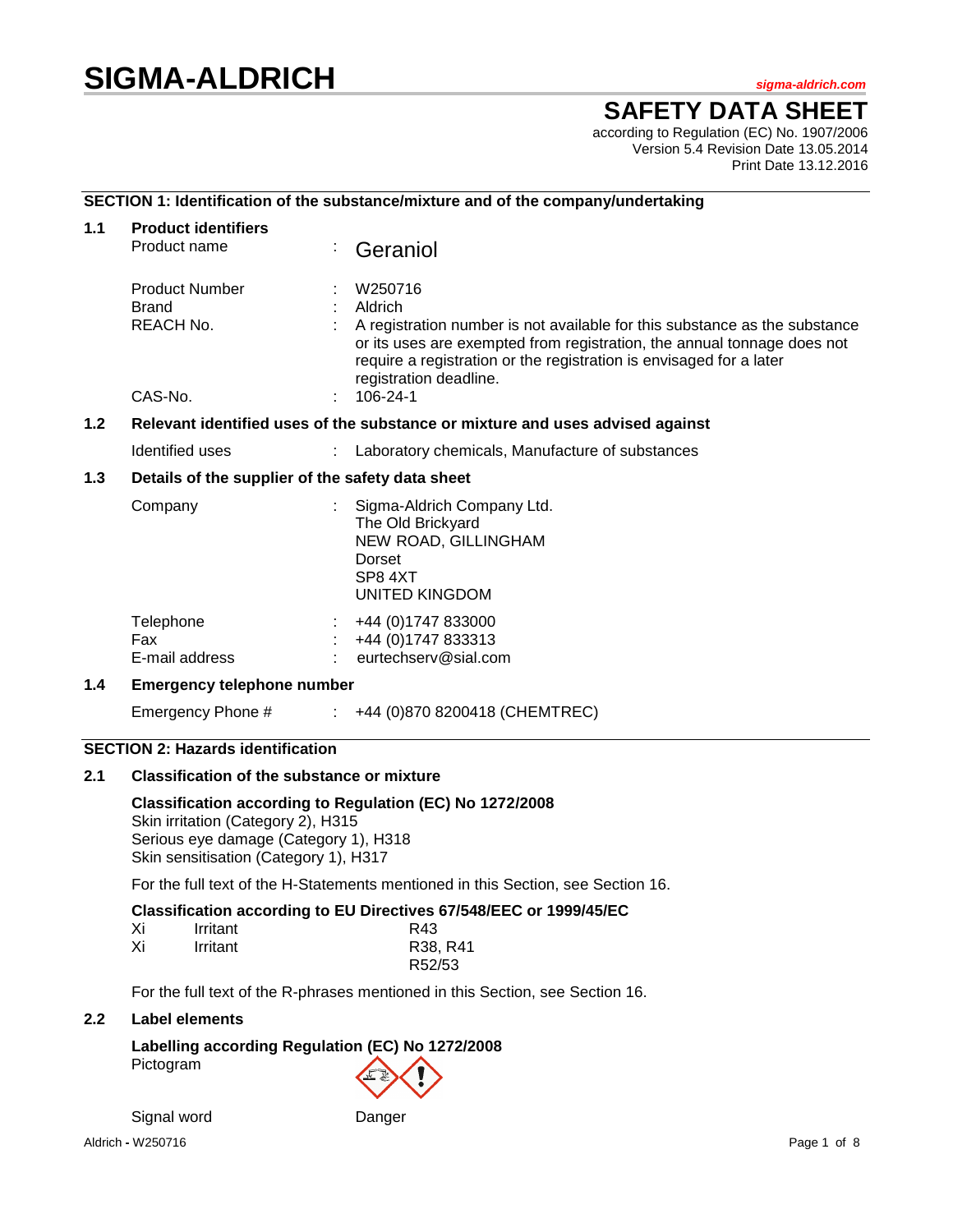# **SIGMA-ALDRICH** *sigma-aldrich.com*

# **SAFETY DATA SHEET**

according to Regulation (EC) No. 1907/2006 Version 5.4 Revision Date 13.05.2014 Print Date 13.12.2016

## **SECTION 1: Identification of the substance/mixture and of the company/undertaking**

| 1.1                                                                                  | <b>Product identifiers</b>                         |  |                                                                                                                                                                                                                                                                              |  |
|--------------------------------------------------------------------------------------|----------------------------------------------------|--|------------------------------------------------------------------------------------------------------------------------------------------------------------------------------------------------------------------------------------------------------------------------------|--|
|                                                                                      | Product name                                       |  | Geraniol                                                                                                                                                                                                                                                                     |  |
|                                                                                      | <b>Product Number</b><br><b>Brand</b><br>REACH No. |  | W250716<br>Aldrich<br>A registration number is not available for this substance as the substance<br>or its uses are exempted from registration, the annual tonnage does not<br>require a registration or the registration is envisaged for a later<br>registration deadline. |  |
|                                                                                      | CAS-No.                                            |  | 106-24-1                                                                                                                                                                                                                                                                     |  |
| 1.2<br>Relevant identified uses of the substance or mixture and uses advised against |                                                    |  |                                                                                                                                                                                                                                                                              |  |
|                                                                                      | Identified uses                                    |  | Laboratory chemicals, Manufacture of substances                                                                                                                                                                                                                              |  |
| $1.3$                                                                                | Details of the supplier of the safety data sheet   |  |                                                                                                                                                                                                                                                                              |  |
|                                                                                      | Company                                            |  | Sigma-Aldrich Company Ltd.<br>The Old Brickyard<br>NEW ROAD, GILLINGHAM<br>Dorset<br>SP84XT<br><b>UNITED KINGDOM</b>                                                                                                                                                         |  |
|                                                                                      | Telephone<br>Fax<br>E-mail address                 |  | +44 (0) 1747 833000<br>+44 (0) 1747 833313<br>eurtechserv@sial.com                                                                                                                                                                                                           |  |
| $1.4^{\circ}$                                                                        | <b>Emergency telephone number</b>                  |  |                                                                                                                                                                                                                                                                              |  |
|                                                                                      | Emergency Phone #                                  |  | +44 (0)870 8200418 (CHEMTREC)                                                                                                                                                                                                                                                |  |

## **SECTION 2: Hazards identification**

#### **2.1 Classification of the substance or mixture**

**Classification according to Regulation (EC) No 1272/2008** Skin irritation (Category 2), H315 Serious eye damage (Category 1), H318 Skin sensitisation (Category 1), H317

For the full text of the H-Statements mentioned in this Section, see Section 16.

## **Classification according to EU Directives 67/548/EEC or 1999/45/EC**

| Xi | Irritant | R43      |
|----|----------|----------|
| Xi | Irritant | R38, R41 |
|    |          | R52/53   |

For the full text of the R-phrases mentioned in this Section, see Section 16.

#### **2.2 Label elements**

# **Labelling according Regulation (EC) No 1272/2008** Pictogram

Signal word Danger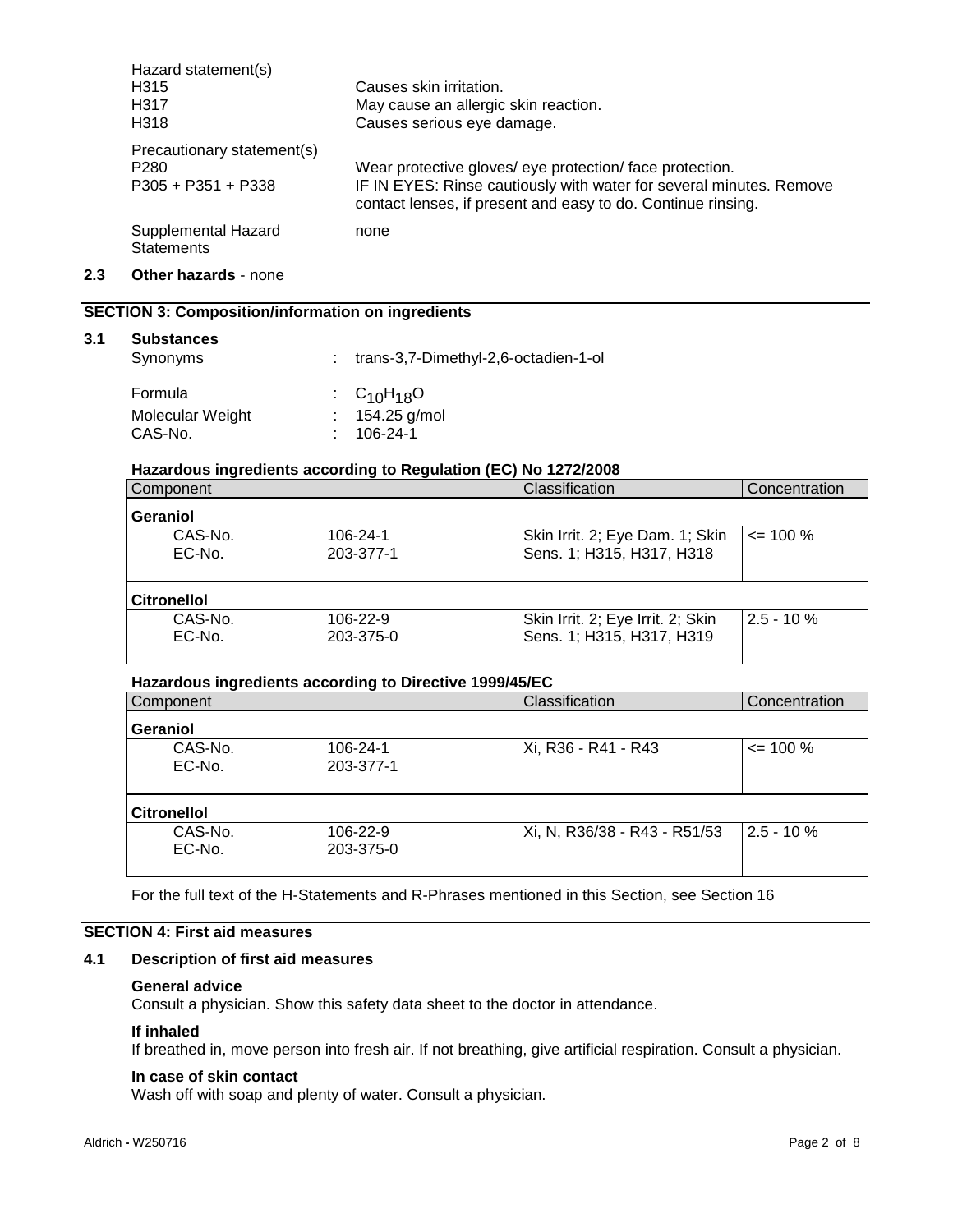| Hazard statement(s)                      |                                                                                                                                     |
|------------------------------------------|-------------------------------------------------------------------------------------------------------------------------------------|
| H <sub>315</sub>                         | Causes skin irritation.                                                                                                             |
| H317                                     | May cause an allergic skin reaction.                                                                                                |
| H <sub>3</sub> 18                        | Causes serious eye damage.                                                                                                          |
| Precautionary statement(s)               |                                                                                                                                     |
| P <sub>280</sub>                         | Wear protective gloves/ eye protection/face protection.                                                                             |
| $P305 + P351 + P338$                     | IF IN EYES: Rinse cautiously with water for several minutes. Remove<br>contact lenses, if present and easy to do. Continue rinsing. |
| Supplemental Hazard<br><b>Statements</b> | none                                                                                                                                |

**2.3 Other hazards** - none

## **SECTION 3: Composition/information on ingredients**

#### **3.1 Substances**

| Synonyms         | : trans-3,7-Dimethyl-2,6-octadien-1-ol |
|------------------|----------------------------------------|
| Formula          | : $C_{10}H_{18}O$                      |
| Molecular Weight | $: 154.25$ g/mol                       |
| CAS-No.          | $: 106-24-1$                           |

## **Hazardous ingredients according to Regulation (EC) No 1272/2008**

| Component          |           | Classification                    | Concentration |
|--------------------|-----------|-----------------------------------|---------------|
| Geraniol           |           |                                   |               |
| CAS-No.            | 106-24-1  | Skin Irrit. 2; Eye Dam. 1; Skin   | $\leq$ 100 %  |
| EC-No.             | 203-377-1 | Sens. 1; H315, H317, H318         |               |
|                    |           |                                   |               |
| <b>Citronellol</b> |           |                                   |               |
| CAS-No.            | 106-22-9  | Skin Irrit. 2; Eye Irrit. 2; Skin | $2.5 - 10 \%$ |
| EC-No.             | 203-375-0 | Sens. 1; H315, H317, H319         |               |
|                    |           |                                   |               |

#### **Hazardous ingredients according to Directive 1999/45/EC**

| Component          |           | Classification               | Concentration |
|--------------------|-----------|------------------------------|---------------|
| Geraniol           |           |                              |               |
| CAS-No.            | 106-24-1  | Xi, R36 - R41 - R43          | $\leq$ 100 %  |
| EC-No.             | 203-377-1 |                              |               |
|                    |           |                              |               |
| <b>Citronellol</b> |           |                              |               |
| CAS-No.            | 106-22-9  | Xi, N, R36/38 - R43 - R51/53 | $2.5 - 10%$   |
| EC-No.             | 203-375-0 |                              |               |
|                    |           |                              |               |

For the full text of the H-Statements and R-Phrases mentioned in this Section, see Section 16

## **SECTION 4: First aid measures**

## **4.1 Description of first aid measures**

#### **General advice**

Consult a physician. Show this safety data sheet to the doctor in attendance.

#### **If inhaled**

If breathed in, move person into fresh air. If not breathing, give artificial respiration. Consult a physician.

## **In case of skin contact**

Wash off with soap and plenty of water. Consult a physician.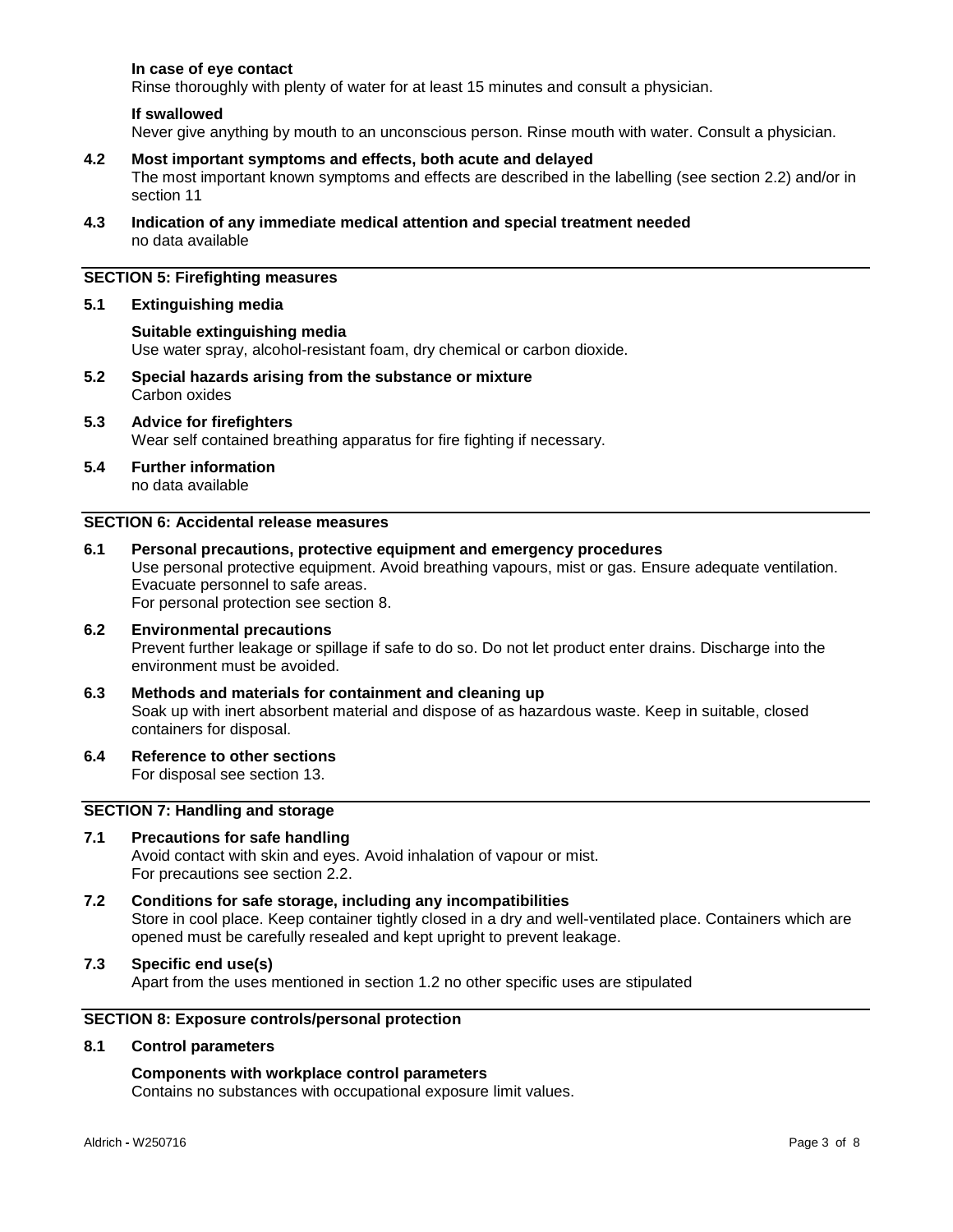### **In case of eye contact**

Rinse thoroughly with plenty of water for at least 15 minutes and consult a physician.

#### **If swallowed**

Never give anything by mouth to an unconscious person. Rinse mouth with water. Consult a physician.

- **4.2 Most important symptoms and effects, both acute and delayed** The most important known symptoms and effects are described in the labelling (see section 2.2) and/or in section 11
- **4.3 Indication of any immediate medical attention and special treatment needed** no data available

## **SECTION 5: Firefighting measures**

#### **5.1 Extinguishing media**

#### **Suitable extinguishing media**

Use water spray, alcohol-resistant foam, dry chemical or carbon dioxide.

- **5.2 Special hazards arising from the substance or mixture** Carbon oxides
- **5.3 Advice for firefighters** Wear self contained breathing apparatus for fire fighting if necessary.
- **5.4 Further information** no data available

## **SECTION 6: Accidental release measures**

# **6.1 Personal precautions, protective equipment and emergency procedures**

Use personal protective equipment. Avoid breathing vapours, mist or gas. Ensure adequate ventilation. Evacuate personnel to safe areas.

For personal protection see section 8.

# **6.2 Environmental precautions** Prevent further leakage or spillage if safe to do so. Do not let product enter drains. Discharge into the environment must be avoided.

- **6.3 Methods and materials for containment and cleaning up** Soak up with inert absorbent material and dispose of as hazardous waste. Keep in suitable, closed containers for disposal.
- **6.4 Reference to other sections**

For disposal see section 13.

## **SECTION 7: Handling and storage**

#### **7.1 Precautions for safe handling** Avoid contact with skin and eyes. Avoid inhalation of vapour or mist. For precautions see section 2.2.

- **7.2 Conditions for safe storage, including any incompatibilities** Store in cool place. Keep container tightly closed in a dry and well-ventilated place. Containers which are opened must be carefully resealed and kept upright to prevent leakage.
- **7.3 Specific end use(s)**

Apart from the uses mentioned in section 1.2 no other specific uses are stipulated

## **SECTION 8: Exposure controls/personal protection**

#### **8.1 Control parameters**

#### **Components with workplace control parameters**

Contains no substances with occupational exposure limit values.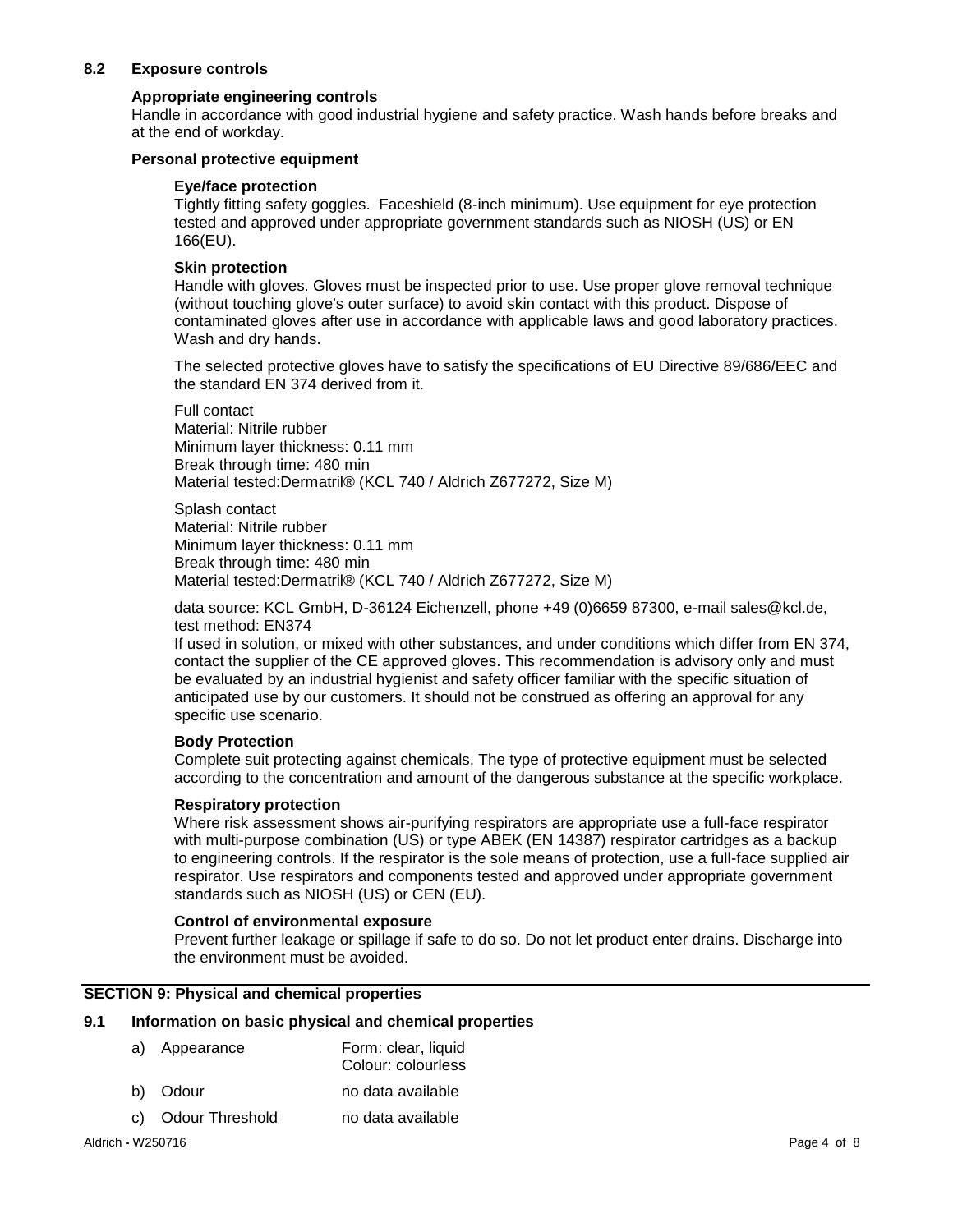## **8.2 Exposure controls**

## **Appropriate engineering controls**

Handle in accordance with good industrial hygiene and safety practice. Wash hands before breaks and at the end of workday.

## **Personal protective equipment**

#### **Eye/face protection**

Tightly fitting safety goggles. Faceshield (8-inch minimum). Use equipment for eye protection tested and approved under appropriate government standards such as NIOSH (US) or EN 166(EU).

## **Skin protection**

Handle with gloves. Gloves must be inspected prior to use. Use proper glove removal technique (without touching glove's outer surface) to avoid skin contact with this product. Dispose of contaminated gloves after use in accordance with applicable laws and good laboratory practices. Wash and dry hands.

The selected protective gloves have to satisfy the specifications of EU Directive 89/686/EEC and the standard EN 374 derived from it.

Full contact Material: Nitrile rubber Minimum layer thickness: 0.11 mm Break through time: 480 min Material tested:Dermatril® (KCL 740 / Aldrich Z677272, Size M)

Splash contact Material: Nitrile rubber Minimum layer thickness: 0.11 mm Break through time: 480 min Material tested:Dermatril® (KCL 740 / Aldrich Z677272, Size M)

data source: KCL GmbH, D-36124 Eichenzell, phone +49 (0)6659 87300, e-mail sales@kcl.de, test method: EN374

If used in solution, or mixed with other substances, and under conditions which differ from EN 374, contact the supplier of the CE approved gloves. This recommendation is advisory only and must be evaluated by an industrial hygienist and safety officer familiar with the specific situation of anticipated use by our customers. It should not be construed as offering an approval for any specific use scenario.

#### **Body Protection**

Complete suit protecting against chemicals, The type of protective equipment must be selected according to the concentration and amount of the dangerous substance at the specific workplace.

## **Respiratory protection**

Where risk assessment shows air-purifying respirators are appropriate use a full-face respirator with multi-purpose combination (US) or type ABEK (EN 14387) respirator cartridges as a backup to engineering controls. If the respirator is the sole means of protection, use a full-face supplied air respirator. Use respirators and components tested and approved under appropriate government standards such as NIOSH (US) or CEN (EU).

#### **Control of environmental exposure**

Prevent further leakage or spillage if safe to do so. Do not let product enter drains. Discharge into the environment must be avoided.

## **SECTION 9: Physical and chemical properties**

#### **9.1 Information on basic physical and chemical properties**

| a)                | Appearance      | Form: clear, liquid<br>Colour: colourless |             |
|-------------------|-----------------|-------------------------------------------|-------------|
| b)                | Odour           | no data available                         |             |
| C)                | Odour Threshold | no data available                         |             |
| Aldrich - W250716 |                 |                                           | Page 4 of 8 |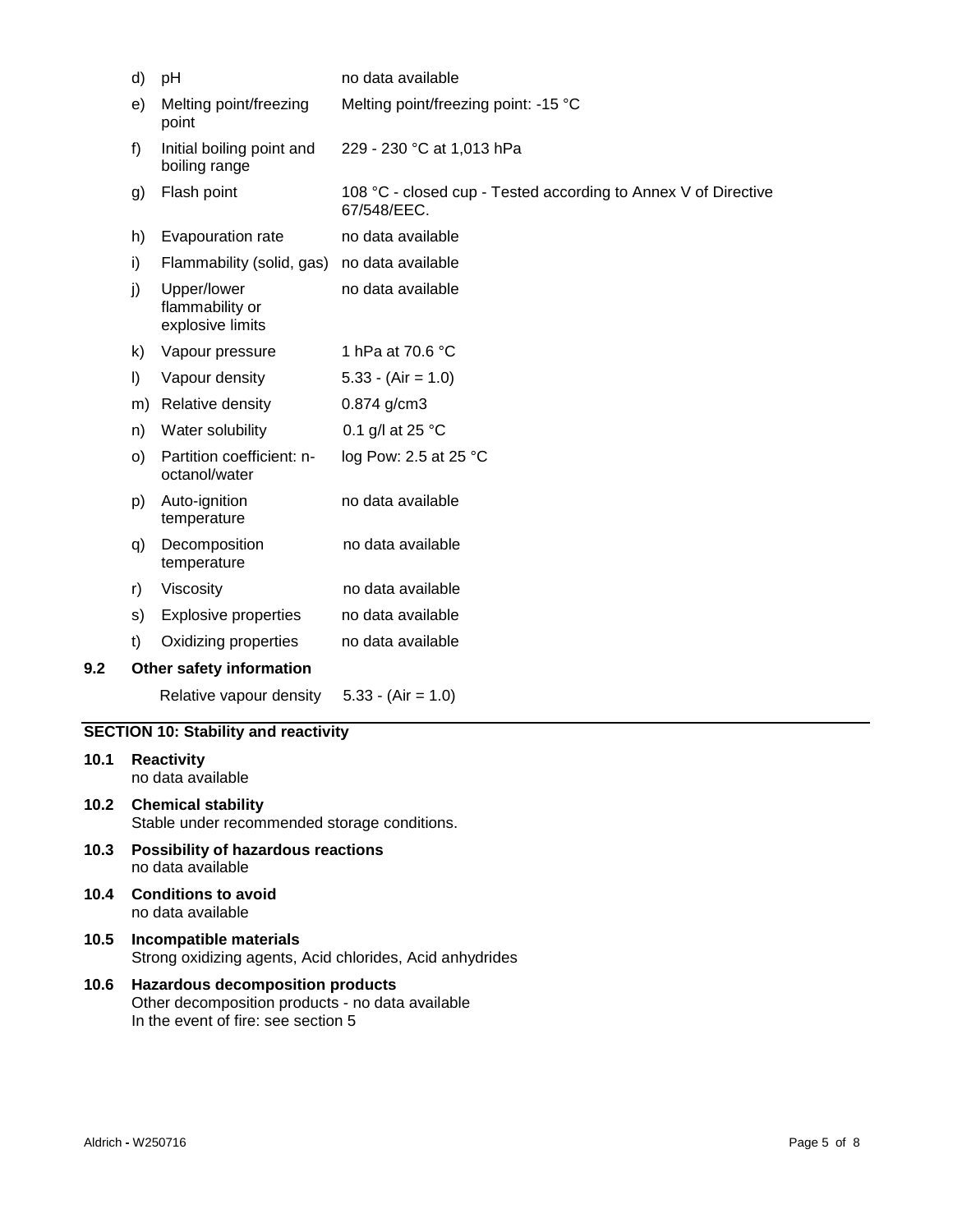|                                                                               | d)                                                                        | no data available<br>pH                            |                                                                               |  |
|-------------------------------------------------------------------------------|---------------------------------------------------------------------------|----------------------------------------------------|-------------------------------------------------------------------------------|--|
|                                                                               | e)                                                                        | Melting point/freezing<br>point                    | Melting point/freezing point: -15 °C                                          |  |
| Initial boiling point and<br>229 - 230 °C at 1,013 hPa<br>f)<br>boiling range |                                                                           |                                                    |                                                                               |  |
|                                                                               | g)                                                                        | Flash point                                        | 108 °C - closed cup - Tested according to Annex V of Directive<br>67/548/EEC. |  |
|                                                                               | h)                                                                        | Evapouration rate                                  | no data available                                                             |  |
|                                                                               | i)                                                                        | Flammability (solid, gas)                          | no data available                                                             |  |
|                                                                               | j)                                                                        | Upper/lower<br>flammability or<br>explosive limits | no data available                                                             |  |
|                                                                               | k)                                                                        | Vapour pressure                                    | 1 hPa at 70.6 °C                                                              |  |
|                                                                               | I)                                                                        | Vapour density                                     | $5.33 - (Air = 1.0)$                                                          |  |
|                                                                               |                                                                           | m) Relative density                                | 0.874 g/cm3                                                                   |  |
|                                                                               | n)                                                                        | Water solubility                                   | 0.1 g/l at 25 °C                                                              |  |
|                                                                               | O)                                                                        | Partition coefficient: n-<br>octanol/water         | log Pow: 2.5 at 25 °C                                                         |  |
|                                                                               | p)                                                                        | Auto-ignition<br>temperature                       | no data available                                                             |  |
|                                                                               | q)                                                                        | Decomposition<br>temperature                       | no data available                                                             |  |
|                                                                               | r)                                                                        | Viscosity                                          | no data available                                                             |  |
|                                                                               | s)                                                                        | <b>Explosive properties</b>                        | no data available                                                             |  |
|                                                                               | t)                                                                        | Oxidizing properties                               | no data available                                                             |  |
| 9.2                                                                           |                                                                           | Other safety information                           |                                                                               |  |
|                                                                               |                                                                           | Relative vapour density                            | $5.33 - (Air = 1.0)$                                                          |  |
|                                                                               |                                                                           | <b>SECTION 10: Stability and reactivity</b>        |                                                                               |  |
| 10.1                                                                          | <b>Reactivity</b><br>no data available                                    |                                                    |                                                                               |  |
| 10.2                                                                          | <b>Chemical stability</b><br>Stable under recommended storage conditions. |                                                    |                                                                               |  |
| 10.3                                                                          | <b>Possibility of hazardous reactions</b><br>no data available            |                                                    |                                                                               |  |

- **10.4 Conditions to avoid** no data available
- **10.5 Incompatible materials** Strong oxidizing agents, Acid chlorides, Acid anhydrides
- **10.6 Hazardous decomposition products** Other decomposition products - no data available In the event of fire: see section 5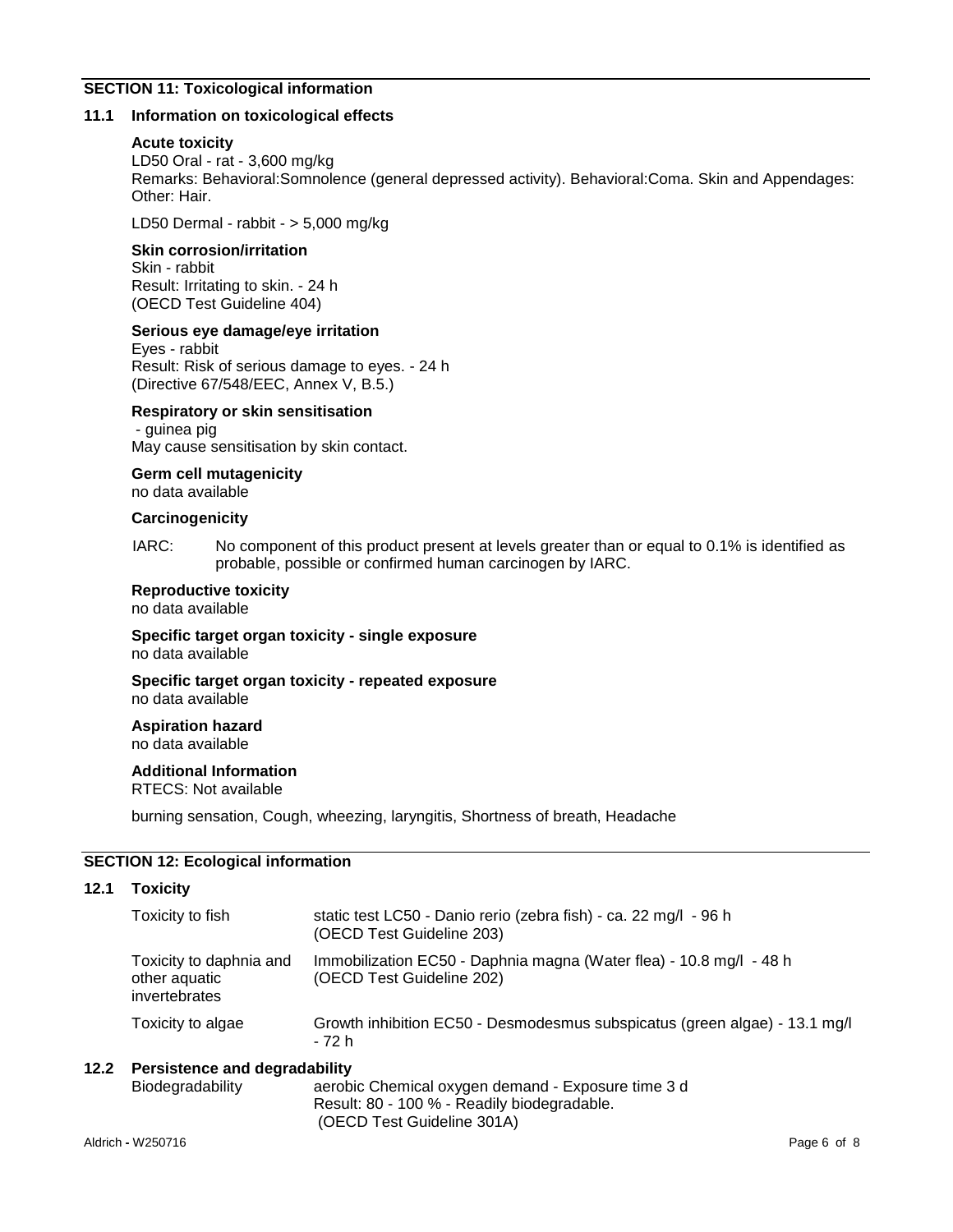## **SECTION 11: Toxicological information**

#### **11.1 Information on toxicological effects**

#### **Acute toxicity**

LD50 Oral - rat - 3,600 mg/kg Remarks: Behavioral:Somnolence (general depressed activity). Behavioral:Coma. Skin and Appendages: Other: Hair.

LD50 Dermal - rabbit - > 5,000 mg/kg

## **Skin corrosion/irritation**

Skin - rabbit Result: Irritating to skin. - 24 h (OECD Test Guideline 404)

#### **Serious eye damage/eye irritation**

Eyes - rabbit Result: Risk of serious damage to eyes. - 24 h (Directive 67/548/EEC, Annex V, B.5.)

## **Respiratory or skin sensitisation**

- guinea pig May cause sensitisation by skin contact.

## **Germ cell mutagenicity**

no data available

## **Carcinogenicity**

IARC: No component of this product present at levels greater than or equal to 0.1% is identified as probable, possible or confirmed human carcinogen by IARC.

#### **Reproductive toxicity**

no data available

**Specific target organ toxicity - single exposure** no data available

**Specific target organ toxicity - repeated exposure**

no data available

#### **Aspiration hazard** no data available

# **Additional Information**

RTECS: Not available

burning sensation, Cough, wheezing, laryngitis, Shortness of breath, Headache

## **SECTION 12: Ecological information**

#### **12.1 Toxicity**

| Toxicity to fish                                          | static test LC50 - Danio rerio (zebra fish) - ca. 22 mg/l - 96 h<br>(OECD Test Guideline 203)    |
|-----------------------------------------------------------|--------------------------------------------------------------------------------------------------|
| Toxicity to daphnia and<br>other aquatic<br>invertebrates | Immobilization EC50 - Daphnia magna (Water flea) - 10.8 mg/l - 48 h<br>(OECD Test Guideline 202) |
| Toxicity to algae                                         | Growth inhibition EC50 - Desmodesmus subspicatus (green algae) - 13.1 mg/l<br>- 72 h             |

## **12.2 Persistence and degradability**

| Biodegradability | aerobic Chemical oxygen demand - Exposure time 3 d |
|------------------|----------------------------------------------------|
|                  | Result: 80 - 100 % - Readily biodegradable.        |
|                  | (OECD Test Guideline 301A)                         |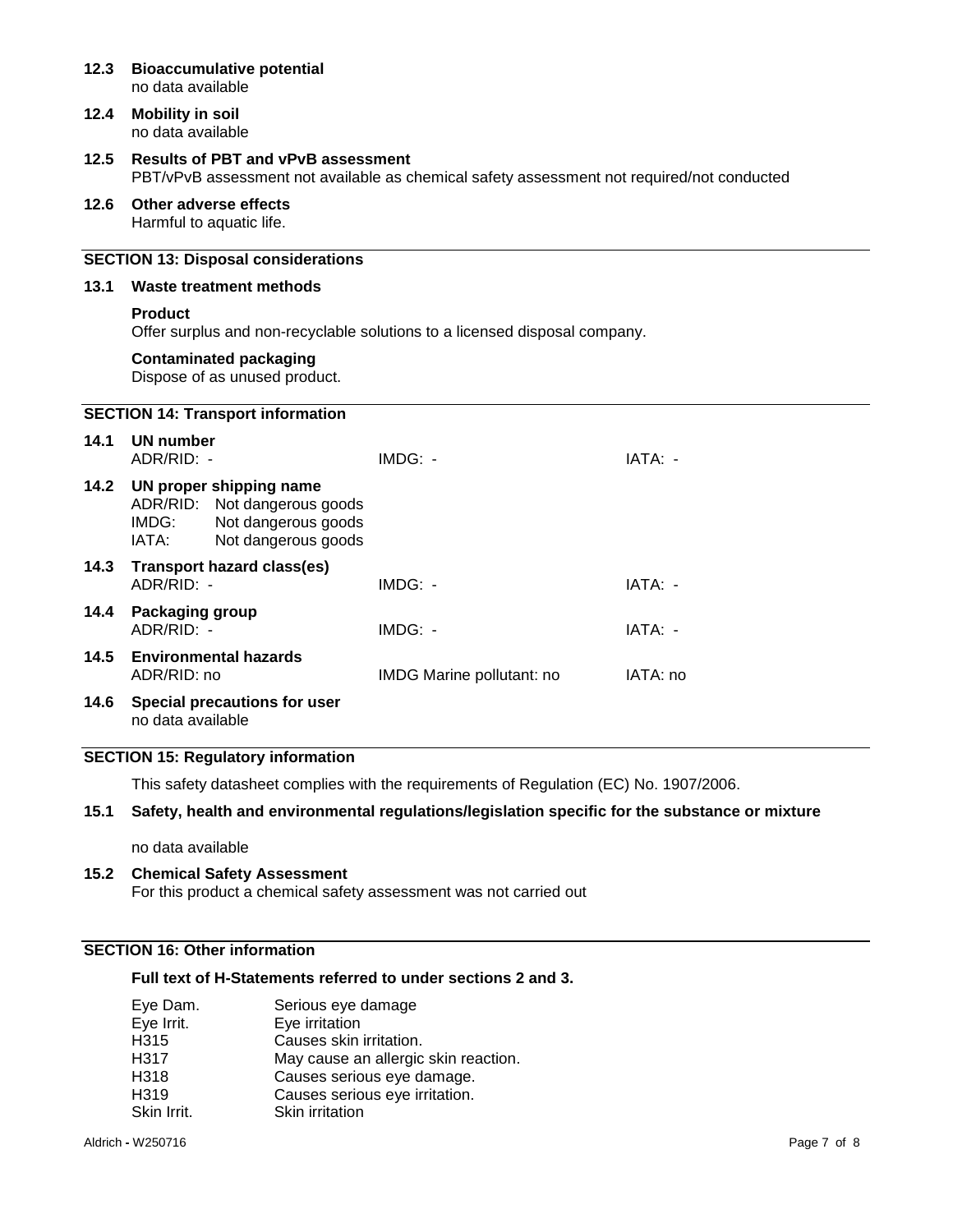| 12.3 | <b>Bioaccumulative potential</b><br>no data available                                                                                   |                                                                            |          |  |
|------|-----------------------------------------------------------------------------------------------------------------------------------------|----------------------------------------------------------------------------|----------|--|
| 12.4 | <b>Mobility in soil</b><br>no data available                                                                                            |                                                                            |          |  |
| 12.5 | <b>Results of PBT and vPvB assessment</b><br>PBT/vPvB assessment not available as chemical safety assessment not required/not conducted |                                                                            |          |  |
| 12.6 | Other adverse effects<br>Harmful to aquatic life.                                                                                       |                                                                            |          |  |
|      | <b>SECTION 13: Disposal considerations</b>                                                                                              |                                                                            |          |  |
| 13.1 | Waste treatment methods                                                                                                                 |                                                                            |          |  |
|      | <b>Product</b>                                                                                                                          | Offer surplus and non-recyclable solutions to a licensed disposal company. |          |  |
|      | <b>Contaminated packaging</b><br>Dispose of as unused product.                                                                          |                                                                            |          |  |
|      | <b>SECTION 14: Transport information</b>                                                                                                |                                                                            |          |  |
| 14.1 | <b>UN number</b><br>ADR/RID: -                                                                                                          | IMDG: -                                                                    | IATA: -  |  |
| 14.2 | UN proper shipping name<br>ADR/RID:<br>Not dangerous goods<br>Not dangerous goods<br>IMDG:<br>IATA:<br>Not dangerous goods              |                                                                            |          |  |
| 14.3 | <b>Transport hazard class(es)</b><br>ADR/RID: -                                                                                         | $IMDG: -$                                                                  | IATA: -  |  |
| 14.4 | <b>Packaging group</b><br>ADR/RID: -                                                                                                    | $IMDG: -$                                                                  | IATA: -  |  |
| 14.5 | <b>Environmental hazards</b><br>ADR/RID: no                                                                                             | IMDG Marine pollutant: no                                                  | IATA: no |  |
| 14.6 | Special precautions for user<br>no data available                                                                                       |                                                                            |          |  |

## **SECTION 15: Regulatory information**

This safety datasheet complies with the requirements of Regulation (EC) No. 1907/2006.

## **15.1 Safety, health and environmental regulations/legislation specific for the substance or mixture**

no data available

**15.2 Chemical Safety Assessment** For this product a chemical safety assessment was not carried out

# **SECTION 16: Other information**

## **Full text of H-Statements referred to under sections 2 and 3.**

| Eye Dam.         | Serious eye damage                   |
|------------------|--------------------------------------|
| Eye Irrit.       | Eye irritation                       |
| H <sub>315</sub> | Causes skin irritation.              |
| H <sub>317</sub> | May cause an allergic skin reaction. |
| H <sub>318</sub> | Causes serious eye damage.           |
| H <sub>319</sub> | Causes serious eye irritation.       |
| Skin Irrit.      | Skin irritation                      |